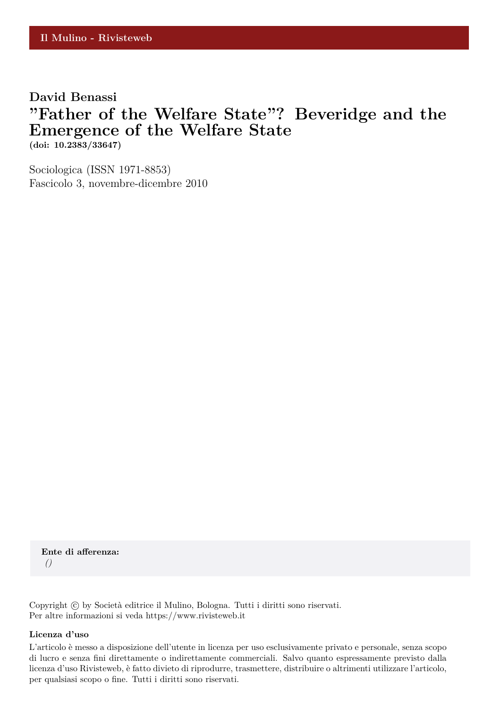### **David Benassi**

# **"Father of the Welfare State"? Beveridge and the Emergence of the Welfare State (doi: 10.2383/33647)**

Sociologica (ISSN 1971-8853) Fascicolo 3, novembre-dicembre 2010

**Ente di afferenza:** *()*

Copyright © by Società editrice il Mulino, Bologna. Tutti i diritti sono riservati. Per altre informazioni si veda https://www.rivisteweb.it

#### **Licenza d'uso**

L'articolo è messo a disposizione dell'utente in licenza per uso esclusivamente privato e personale, senza scopo di lucro e senza fini direttamente o indirettamente commerciali. Salvo quanto espressamente previsto dalla licenza d'uso Rivisteweb, è fatto divieto di riprodurre, trasmettere, distribuire o altrimenti utilizzare l'articolo, per qualsiasi scopo o fine. Tutti i diritti sono riservati.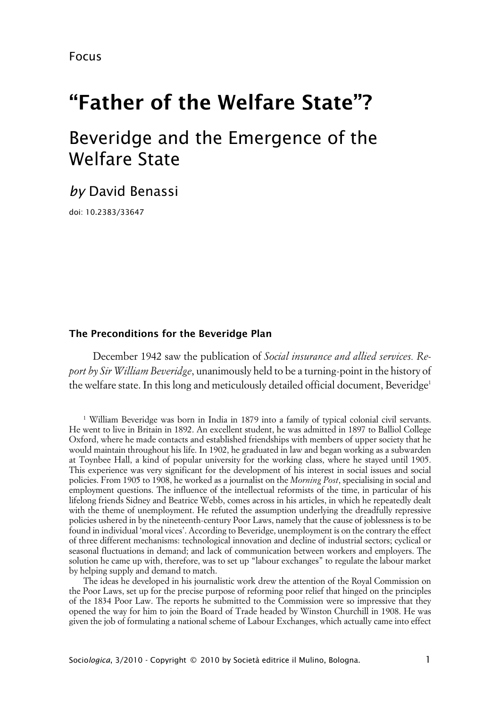Focus

# **"Father of the Welfare State"?**

# Beveridge and the Emergence of the Welfare State

## *by* David Benassi

doi: 10.2383/33647

#### **xThe Preconditions for the Beveridge Plan**

December 1942 saw the publication of *Social insurance and allied services. Report by Sir William Beveridge*, unanimously held to be a turning-point in the history of the welfare state. In this long and meticulously detailed official document, Beveridge<sup>1</sup>

1 William Beveridge was born in India in 1879 into a family of typical colonial civil servants. He went to live in Britain in 1892. An excellent student, he was admitted in 1897 to Balliol College Oxford, where he made contacts and established friendships with members of upper society that he would maintain throughout his life. In 1902, he graduated in law and began working as a subwarden at Toynbee Hall, a kind of popular university for the working class, where he stayed until 1905. This experience was very significant for the development of his interest in social issues and social policies. From 1905 to 1908, he worked as a journalist on the *Morning Post*, specialising in social and employment questions. The influence of the intellectual reformists of the time, in particular of his lifelong friends Sidney and Beatrice Webb, comes across in his articles, in which he repeatedly dealt with the theme of unemployment. He refuted the assumption underlying the dreadfully repressive policies ushered in by the nineteenth-century Poor Laws, namely that the cause of joblessness is to be found in individual 'moral vices'. According to Beveridge, unemployment is on the contrary the effect of three different mechanisms: technological innovation and decline of industrial sectors; cyclical or seasonal fluctuations in demand; and lack of communication between workers and employers. The solution he came up with, therefore, was to set up "labour exchanges" to regulate the labour market by helping supply and demand to match.

The ideas he developed in his journalistic work drew the attention of the Royal Commission on the Poor Laws, set up for the precise purpose of reforming poor relief that hinged on the principles of the 1834 Poor Law. The reports he submitted to the Commission were so impressive that they opened the way for him to join the Board of Trade headed by Winston Churchill in 1908. He was given the job of formulating a national scheme of Labour Exchanges, which actually came into effect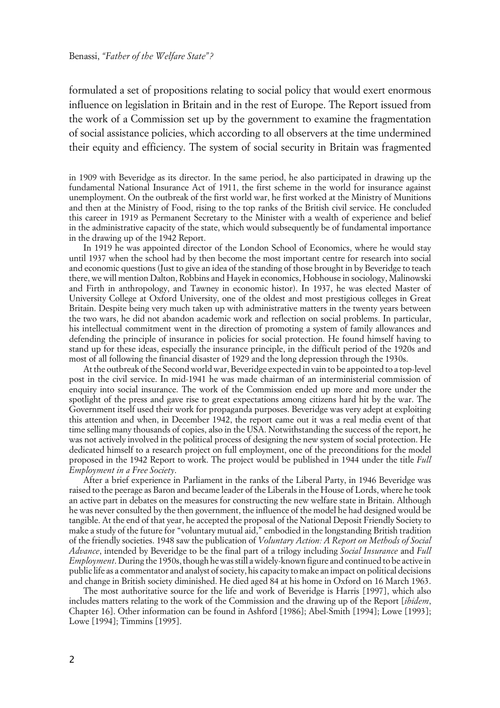formulated a set of propositions relating to social policy that would exert enormous influence on legislation in Britain and in the rest of Europe. The Report issued from the work of a Commission set up by the government to examine the fragmentation of social assistance policies, which according to all observers at the time undermined their equity and efficiency. The system of social security in Britain was fragmented

in 1909 with Beveridge as its director. In the same period, he also participated in drawing up the fundamental National Insurance Act of 1911, the first scheme in the world for insurance against unemployment. On the outbreak of the first world war, he first worked at the Ministry of Munitions and then at the Ministry of Food, rising to the top ranks of the British civil service. He concluded this career in 1919 as Permanent Secretary to the Minister with a wealth of experience and belief in the administrative capacity of the state, which would subsequently be of fundamental importance in the drawing up of the 1942 Report.

In 1919 he was appointed director of the London School of Economics, where he would stay until 1937 when the school had by then become the most important centre for research into social and economic questions (Just to give an idea of the standing of those brought in by Beveridge to teach there, we will mention Dalton, Robbins and Hayek in economics, Hobhouse in sociology, Malinowski and Firth in anthropology, and Tawney in economic histor). In 1937, he was elected Master of University College at Oxford University, one of the oldest and most prestigious colleges in Great Britain. Despite being very much taken up with administrative matters in the twenty years between the two wars, he did not abandon academic work and reflection on social problems. In particular, his intellectual commitment went in the direction of promoting a system of family allowances and defending the principle of insurance in policies for social protection. He found himself having to stand up for these ideas, especially the insurance principle, in the difficult period of the 1920s and most of all following the financial disaster of 1929 and the long depression through the 1930s.

At the outbreak of the Second world war, Beveridge expected in vain to be appointed to a top-level post in the civil service. In mid-1941 he was made chairman of an interministerial commission of enquiry into social insurance. The work of the Commission ended up more and more under the spotlight of the press and gave rise to great expectations among citizens hard hit by the war. The Government itself used their work for propaganda purposes. Beveridge was very adept at exploiting this attention and when, in December 1942, the report came out it was a real media event of that time selling many thousands of copies, also in the USA. Notwithstanding the success of the report, he was not actively involved in the political process of designing the new system of social protection. He dedicated himself to a research project on full employment, one of the preconditions for the model proposed in the 1942 Report to work. The project would be published in 1944 under the title *Full Employment in a Free Society*.

After a brief experience in Parliament in the ranks of the Liberal Party, in 1946 Beveridge was raised to the peerage as Baron and became leader of the Liberals in the House of Lords, where he took an active part in debates on the measures for constructing the new welfare state in Britain. Although he was never consulted by the then government, the influence of the model he had designed would be tangible. At the end of that year, he accepted the proposal of the National Deposit Friendly Society to make a study of the future for "voluntary mutual aid," embodied in the longstanding British tradition of the friendly societies. 1948 saw the publication of *Voluntary Action: A Report on Methods of Social Advance*, intended by Beveridge to be the final part of a trilogy including *Social Insurance* and *Full Employment*. During the 1950s, though he was still a widely-known figure and continued to be active in public life as a commentator and analyst of society, his capacity to make an impact on political decisions and change in British society diminished. He died aged 84 at his home in Oxford on 16 March 1963.

The most authoritative source for the life and work of Beveridge is Harris [1997], which also includes matters relating to the work of the Commission and the drawing up of the Report [*ibidem*, Chapter 16]. Other information can be found in Ashford [1986]; Abel-Smith [1994]; Lowe [1993]; Lowe [1994]; Timmins [1995].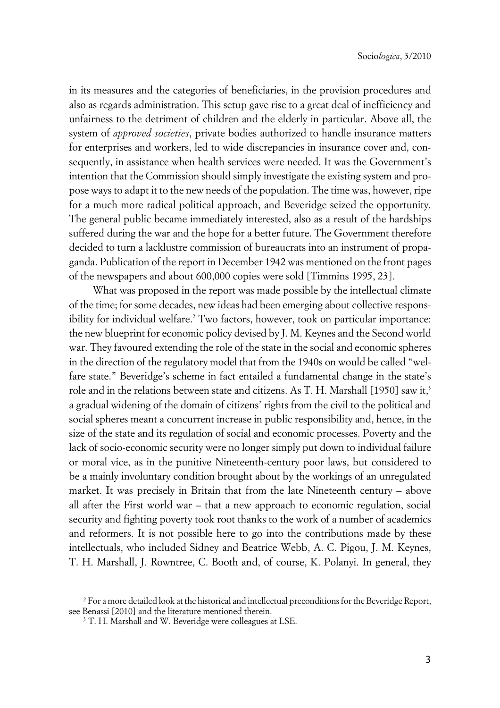in its measures and the categories of beneficiaries, in the provision procedures and also as regards administration. This setup gave rise to a great deal of inefficiency and unfairness to the detriment of children and the elderly in particular. Above all, the system of *approved societies*, private bodies authorized to handle insurance matters for enterprises and workers, led to wide discrepancies in insurance cover and, consequently, in assistance when health services were needed. It was the Government's intention that the Commission should simply investigate the existing system and propose ways to adapt it to the new needs of the population. The time was, however, ripe for a much more radical political approach, and Beveridge seized the opportunity. The general public became immediately interested, also as a result of the hardships suffered during the war and the hope for a better future. The Government therefore decided to turn a lacklustre commission of bureaucrats into an instrument of propaganda. Publication of the report in December 1942 was mentioned on the front pages of the newspapers and about 600,000 copies were sold [Timmins 1995, 23].

What was proposed in the report was made possible by the intellectual climate of the time; for some decades, new ideas had been emerging about collective responsibility for individual welfare.<sup>2</sup> Two factors, however, took on particular importance: the new blueprint for economic policy devised by J. M. Keynes and the Second world war. They favoured extending the role of the state in the social and economic spheres in the direction of the regulatory model that from the 1940s on would be called "welfare state." Beveridge's scheme in fact entailed a fundamental change in the state's role and in the relations between state and citizens. As T. H. Marshall [1950] saw it,<sup>3</sup> a gradual widening of the domain of citizens' rights from the civil to the political and social spheres meant a concurrent increase in public responsibility and, hence, in the size of the state and its regulation of social and economic processes. Poverty and the lack of socio-economic security were no longer simply put down to individual failure or moral vice, as in the punitive Nineteenth-century poor laws, but considered to be a mainly involuntary condition brought about by the workings of an unregulated market. It was precisely in Britain that from the late Nineteenth century – above all after the First world war – that a new approach to economic regulation, social security and fighting poverty took root thanks to the work of a number of academics and reformers. It is not possible here to go into the contributions made by these intellectuals, who included Sidney and Beatrice Webb, A. C. Pigou, J. M. Keynes, T. H. Marshall, J. Rowntree, C. Booth and, of course, K. Polanyi. In general, they

<sup>2</sup> For a more detailed look at the historical and intellectual preconditions for the Beveridge Report, see Benassi [2010] and the literature mentioned therein.

<sup>&</sup>lt;sup>3</sup> T. H. Marshall and W. Beveridge were colleagues at LSE.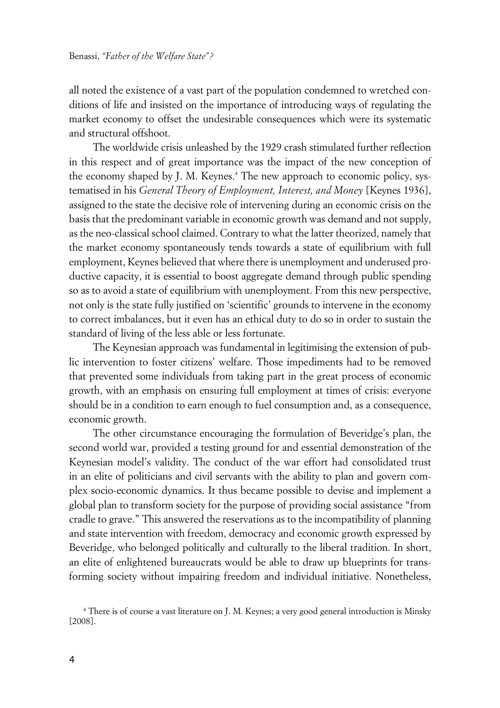all noted the existence of a vast part of the population condemned to wretched conditions of life and insisted on the importance of introducing ways of regulating the market economy to offset the undesirable consequences which were its systematic and structural offshoot.

The worldwide crisis unleashed by the 1929 crash stimulated further reflection in this respect and of great importance was the impact of the new conception of the economy shaped by J. M. Keynes.<sup>4</sup> The new approach to economic policy, systematised in his *General Theory of Employment, Interest, and Money* [Keynes 1936], assigned to the state the decisive role of intervening during an economic crisis on the basis that the predominant variable in economic growth was demand and not supply, as the neo-classical school claimed. Contrary to what the latter theorized, namely that the market economy spontaneously tends towards a state of equilibrium with full employment, Keynes believed that where there is unemployment and underused productive capacity, it is essential to boost aggregate demand through public spending so as to avoid a state of equilibrium with unemployment. From this new perspective, not only is the state fully justified on 'scientific' grounds to intervene in the economy to correct imbalances, but it even has an ethical duty to do so in order to sustain the standard of living of the less able or less fortunate.

The Keynesian approach was fundamental in legitimising the extension of public intervention to foster citizens' welfare. Those impediments had to be removed that prevented some individuals from taking part in the great process of economic growth, with an emphasis on ensuring full employment at times of crisis: everyone should be in a condition to earn enough to fuel consumption and, as a consequence, economic growth.

The other circumstance encouraging the formulation of Beveridge's plan, the second world war, provided a testing ground for and essential demonstration of the Keynesian model's validity. The conduct of the war effort had consolidated trust in an elite of politicians and civil servants with the ability to plan and govern complex socio-economic dynamics. It thus became possible to devise and implement a global plan to transform society for the purpose of providing social assistance "from cradle to grave." This answered the reservations as to the incompatibility of planning and state intervention with freedom, democracy and economic growth expressed by Beveridge, who belonged politically and culturally to the liberal tradition. In short, an elite of enlightened bureaucrats would be able to draw up blueprints for transforming society without impairing freedom and individual initiative. Nonetheless,

<sup>4</sup> There is of course a vast literature on J. M. Keynes; a very good general introduction is Minsky [2008].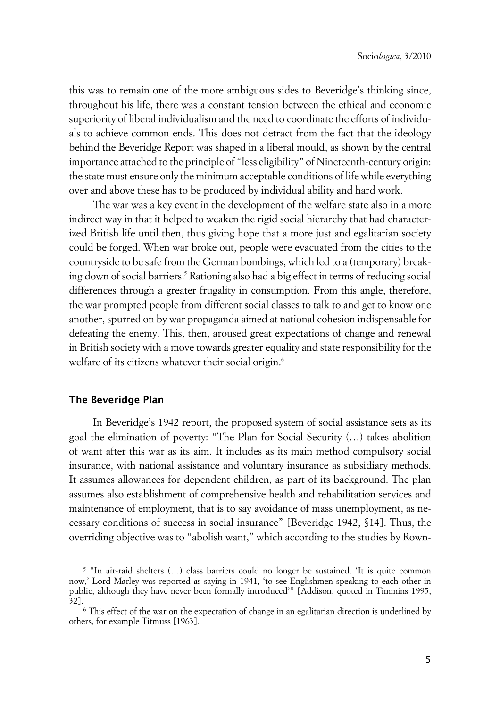this was to remain one of the more ambiguous sides to Beveridge's thinking since, throughout his life, there was a constant tension between the ethical and economic superiority of liberal individualism and the need to coordinate the efforts of individuals to achieve common ends. This does not detract from the fact that the ideology behind the Beveridge Report was shaped in a liberal mould, as shown by the central importance attached to the principle of "less eligibility" of Nineteenth-century origin: the state must ensure only the minimum acceptable conditions of life while everything over and above these has to be produced by individual ability and hard work.

The war was a key event in the development of the welfare state also in a more indirect way in that it helped to weaken the rigid social hierarchy that had characterized British life until then, thus giving hope that a more just and egalitarian society could be forged. When war broke out, people were evacuated from the cities to the countryside to be safe from the German bombings, which led to a (temporary) breaking down of social barriers.<sup>5</sup> Rationing also had a big effect in terms of reducing social differences through a greater frugality in consumption. From this angle, therefore, the war prompted people from different social classes to talk to and get to know one another, spurred on by war propaganda aimed at national cohesion indispensable for defeating the enemy. This, then, aroused great expectations of change and renewal in British society with a move towards greater equality and state responsibility for the welfare of its citizens whatever their social origin.<sup>6</sup>

#### **xThe Beveridge Plan**

In Beveridge's 1942 report, the proposed system of social assistance sets as its goal the elimination of poverty: "The Plan for Social Security (…) takes abolition of want after this war as its aim. It includes as its main method compulsory social insurance, with national assistance and voluntary insurance as subsidiary methods. It assumes allowances for dependent children, as part of its background. The plan assumes also establishment of comprehensive health and rehabilitation services and maintenance of employment, that is to say avoidance of mass unemployment, as necessary conditions of success in social insurance" [Beveridge 1942, §14]. Thus, the overriding objective was to "abolish want," which according to the studies by Rown-

<sup>&</sup>lt;sup>5</sup> "In air-raid shelters (...) class barriers could no longer be sustained. 'It is quite common now,' Lord Marley was reported as saying in 1941, 'to see Englishmen speaking to each other in public, although they have never been formally introduced'" [Addison, quoted in Timmins 1995, 32].

<sup>6</sup> This effect of the war on the expectation of change in an egalitarian direction is underlined by others, for example Titmuss [1963].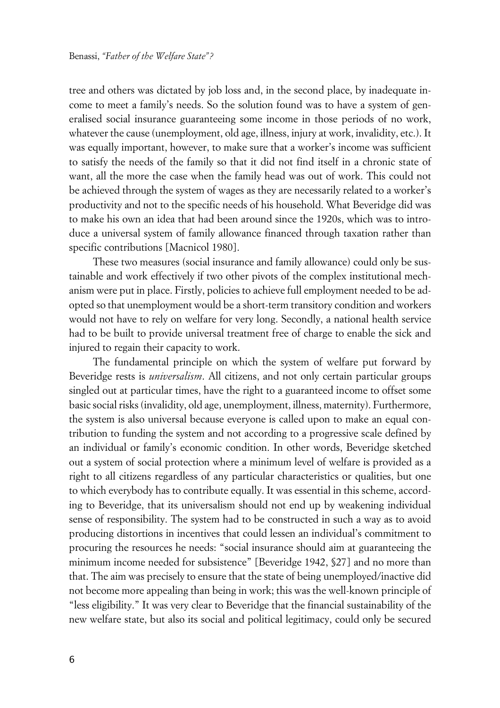tree and others was dictated by job loss and, in the second place, by inadequate income to meet a family's needs. So the solution found was to have a system of generalised social insurance guaranteeing some income in those periods of no work, whatever the cause (unemployment, old age, illness, injury at work, invalidity, etc.). It was equally important, however, to make sure that a worker's income was sufficient to satisfy the needs of the family so that it did not find itself in a chronic state of want, all the more the case when the family head was out of work. This could not be achieved through the system of wages as they are necessarily related to a worker's productivity and not to the specific needs of his household. What Beveridge did was to make his own an idea that had been around since the 1920s, which was to introduce a universal system of family allowance financed through taxation rather than specific contributions [Macnicol 1980].

These two measures (social insurance and family allowance) could only be sustainable and work effectively if two other pivots of the complex institutional mechanism were put in place. Firstly, policies to achieve full employment needed to be adopted so that unemployment would be a short-term transitory condition and workers would not have to rely on welfare for very long. Secondly, a national health service had to be built to provide universal treatment free of charge to enable the sick and injured to regain their capacity to work.

The fundamental principle on which the system of welfare put forward by Beveridge rests is *universalism*. All citizens, and not only certain particular groups singled out at particular times, have the right to a guaranteed income to offset some basic social risks (invalidity, old age, unemployment, illness, maternity). Furthermore, the system is also universal because everyone is called upon to make an equal contribution to funding the system and not according to a progressive scale defined by an individual or family's economic condition. In other words, Beveridge sketched out a system of social protection where a minimum level of welfare is provided as a right to all citizens regardless of any particular characteristics or qualities, but one to which everybody has to contribute equally. It was essential in this scheme, according to Beveridge, that its universalism should not end up by weakening individual sense of responsibility. The system had to be constructed in such a way as to avoid producing distortions in incentives that could lessen an individual's commitment to procuring the resources he needs: "social insurance should aim at guaranteeing the minimum income needed for subsistence" [Beveridge 1942, §27] and no more than that. The aim was precisely to ensure that the state of being unemployed/inactive did not become more appealing than being in work; this was the well-known principle of "less eligibility." It was very clear to Beveridge that the financial sustainability of the new welfare state, but also its social and political legitimacy, could only be secured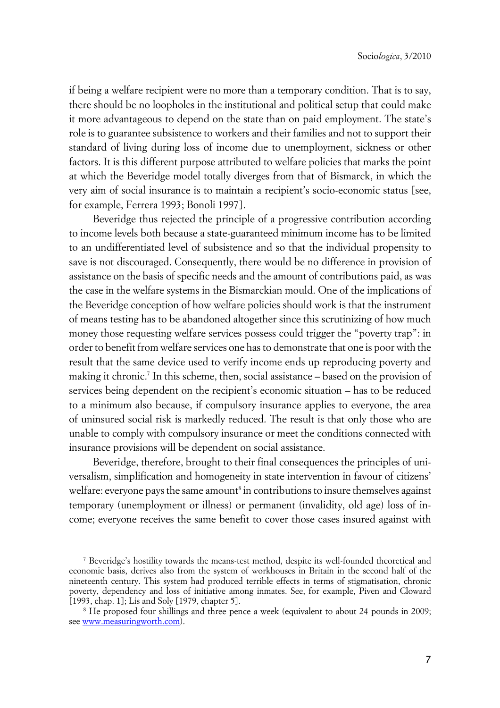if being a welfare recipient were no more than a temporary condition. That is to say, there should be no loopholes in the institutional and political setup that could make it more advantageous to depend on the state than on paid employment. The state's role is to guarantee subsistence to workers and their families and not to support their standard of living during loss of income due to unemployment, sickness or other factors. It is this different purpose attributed to welfare policies that marks the point at which the Beveridge model totally diverges from that of Bismarck, in which the very aim of social insurance is to maintain a recipient's socio-economic status [see, for example, Ferrera 1993; Bonoli 1997].

Beveridge thus rejected the principle of a progressive contribution according to income levels both because a state-guaranteed minimum income has to be limited to an undifferentiated level of subsistence and so that the individual propensity to save is not discouraged. Consequently, there would be no difference in provision of assistance on the basis of specific needs and the amount of contributions paid, as was the case in the welfare systems in the Bismarckian mould. One of the implications of the Beveridge conception of how welfare policies should work is that the instrument of means testing has to be abandoned altogether since this scrutinizing of how much money those requesting welfare services possess could trigger the "poverty trap": in order to benefit from welfare services one has to demonstrate that one is poor with the result that the same device used to verify income ends up reproducing poverty and making it chronic.<sup>7</sup> In this scheme, then, social assistance – based on the provision of services being dependent on the recipient's economic situation – has to be reduced to a minimum also because, if compulsory insurance applies to everyone, the area of uninsured social risk is markedly reduced. The result is that only those who are unable to comply with compulsory insurance or meet the conditions connected with insurance provisions will be dependent on social assistance.

Beveridge, therefore, brought to their final consequences the principles of universalism, simplification and homogeneity in state intervention in favour of citizens' welfare: everyone pays the same amount $^{\mathrm{s}}$  in contributions to insure themselves against temporary (unemployment or illness) or permanent (invalidity, old age) loss of income; everyone receives the same benefit to cover those cases insured against with

<sup>7</sup> Beveridge's hostility towards the means-test method, despite its well-founded theoretical and economic basis, derives also from the system of workhouses in Britain in the second half of the nineteenth century. This system had produced terrible effects in terms of stigmatisation, chronic poverty, dependency and loss of initiative among inmates. See, for example, Piven and Cloward [1993, chap. 1]; Lis and Soly [1979, chapter 5].

<sup>8</sup> He proposed four shillings and three pence a week (equivalent to about 24 pounds in 2009; see<www.measuringworth.com>).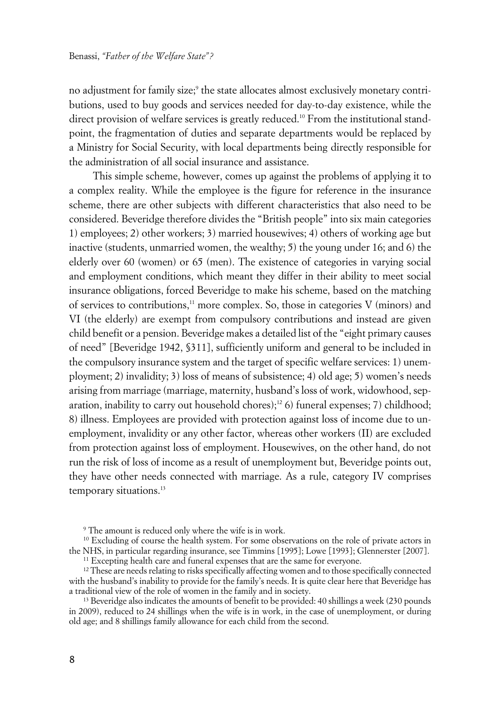no adjustment for family size;<sup>9</sup> the state allocates almost exclusively monetary contributions, used to buy goods and services needed for day-to-day existence, while the direct provision of welfare services is greatly reduced.<sup>10</sup> From the institutional standpoint, the fragmentation of duties and separate departments would be replaced by a Ministry for Social Security, with local departments being directly responsible for the administration of all social insurance and assistance.

This simple scheme, however, comes up against the problems of applying it to a complex reality. While the employee is the figure for reference in the insurance scheme, there are other subjects with different characteristics that also need to be considered. Beveridge therefore divides the "British people" into six main categories 1) employees; 2) other workers; 3) married housewives; 4) others of working age but inactive (students, unmarried women, the wealthy; 5) the young under 16; and 6) the elderly over 60 (women) or 65 (men). The existence of categories in varying social and employment conditions, which meant they differ in their ability to meet social insurance obligations, forced Beveridge to make his scheme, based on the matching of services to contributions, $11$  more complex. So, those in categories V (minors) and VI (the elderly) are exempt from compulsory contributions and instead are given child benefit or a pension. Beveridge makes a detailed list of the "eight primary causes of need" [Beveridge 1942, §311], sufficiently uniform and general to be included in the compulsory insurance system and the target of specific welfare services: 1) unemployment; 2) invalidity; 3) loss of means of subsistence; 4) old age; 5) women's needs arising from marriage (marriage, maternity, husband's loss of work, widowhood, separation, inability to carry out household chores);<sup>12</sup> 6) funeral expenses; 7) childhood; 8) illness. Employees are provided with protection against loss of income due to unemployment, invalidity or any other factor, whereas other workers (II) are excluded from protection against loss of employment. Housewives, on the other hand, do not run the risk of loss of income as a result of unemployment but, Beveridge points out, they have other needs connected with marriage. As a rule, category IV comprises temporary situations.<sup>13</sup>

<sup>9</sup> The amount is reduced only where the wife is in work.

<sup>&</sup>lt;sup>10</sup> Excluding of course the health system. For some observations on the role of private actors in the NHS, in particular regarding insurance, see Timmins [1995]; Lowe [1993]; Glennerster [2007].

<sup>&</sup>lt;sup>11</sup> Excepting health care and funeral expenses that are the same for everyone.

 $12$  These are needs relating to risks specifically affecting women and to those specifically connected with the husband's inability to provide for the family's needs. It is quite clear here that Beveridge has a traditional view of the role of women in the family and in society.

<sup>&</sup>lt;sup>13</sup> Beveridge also indicates the amounts of benefit to be provided: 40 shillings a week (230 pounds in 2009), reduced to 24 shillings when the wife is in work, in the case of unemployment, or during old age; and 8 shillings family allowance for each child from the second.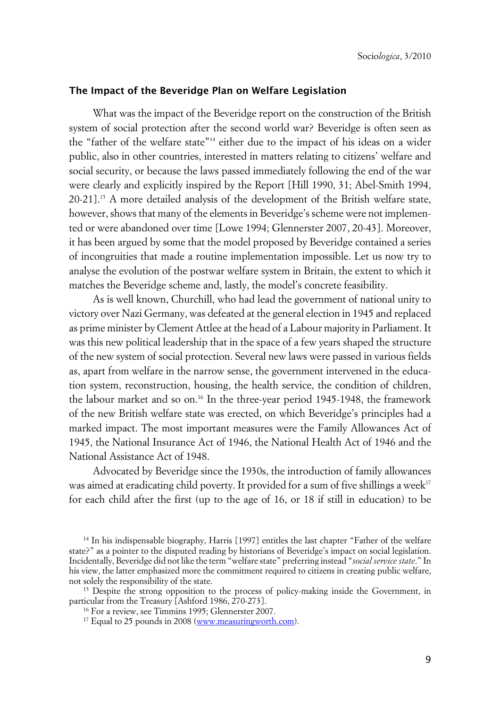#### **xThe Impact of the Beveridge Plan on Welfare Legislation**

What was the impact of the Beveridge report on the construction of the British system of social protection after the second world war? Beveridge is often seen as the "father of the welfare state"14 either due to the impact of his ideas on a wider public, also in other countries, interested in matters relating to citizens' welfare and social security, or because the laws passed immediately following the end of the war were clearly and explicitly inspired by the Report [Hill 1990, 31; Abel-Smith 1994, 20-21].15 A more detailed analysis of the development of the British welfare state, however, shows that many of the elements in Beveridge's scheme were not implemented or were abandoned over time [Lowe 1994; Glennerster 2007, 20-43]. Moreover, it has been argued by some that the model proposed by Beveridge contained a series of incongruities that made a routine implementation impossible. Let us now try to analyse the evolution of the postwar welfare system in Britain, the extent to which it matches the Beveridge scheme and, lastly, the model's concrete feasibility.

As is well known, Churchill, who had lead the government of national unity to victory over Nazi Germany, was defeated at the general election in 1945 and replaced as prime minister by Clement Attlee at the head of a Labour majority in Parliament. It was this new political leadership that in the space of a few years shaped the structure of the new system of social protection. Several new laws were passed in various fields as, apart from welfare in the narrow sense, the government intervened in the education system, reconstruction, housing, the health service, the condition of children, the labour market and so on.<sup>16</sup> In the three-year period 1945-1948, the framework of the new British welfare state was erected, on which Beveridge's principles had a marked impact. The most important measures were the Family Allowances Act of 1945, the National Insurance Act of 1946, the National Health Act of 1946 and the National Assistance Act of 1948.

Advocated by Beveridge since the 1930s, the introduction of family allowances was aimed at eradicating child poverty. It provided for a sum of five shillings a week<sup>17</sup> for each child after the first (up to the age of 16, or 18 if still in education) to be

<sup>14</sup> In his indispensable biography, Harris [1997] entitles the last chapter "Father of the welfare state?" as a pointer to the disputed reading by historians of Beveridge's impact on social legislation. Incidentally, Beveridge did not like the term "welfare state" preferring instead "*social service state*." In his view, the latter emphasized more the commitment required to citizens in creating public welfare, not solely the responsibility of the state.

<sup>&</sup>lt;sup>15</sup> Despite the strong opposition to the process of policy-making inside the Government, in particular from the Treasury [Ashford 1986, 270-273].

<sup>16</sup> For a review, see Timmins 1995; Glennerster 2007.

<sup>&</sup>lt;sup>17</sup> Equal to 25 pounds in 2008 [\(www.measuringworth.com](www.measuringworth.com)).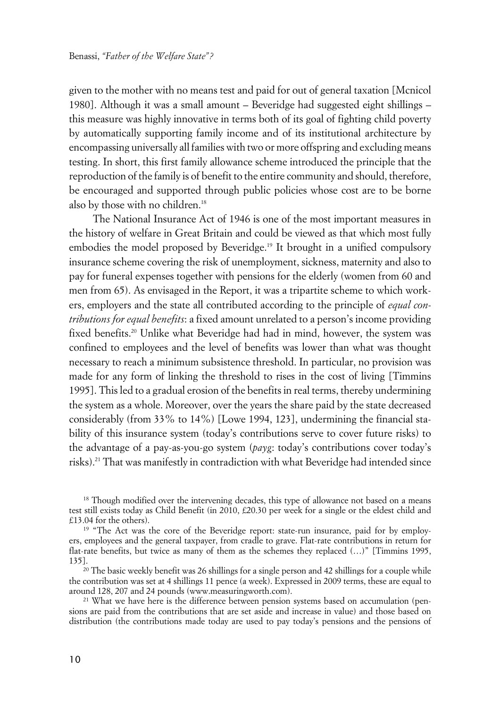given to the mother with no means test and paid for out of general taxation [Mcnicol 1980]. Although it was a small amount – Beveridge had suggested eight shillings – this measure was highly innovative in terms both of its goal of fighting child poverty by automatically supporting family income and of its institutional architecture by encompassing universally all families with two or more offspring and excluding means testing. In short, this first family allowance scheme introduced the principle that the reproduction of the family is of benefit to the entire community and should, therefore, be encouraged and supported through public policies whose cost are to be borne also by those with no children.<sup>18</sup>

The National Insurance Act of 1946 is one of the most important measures in the history of welfare in Great Britain and could be viewed as that which most fully embodies the model proposed by Beveridge.<sup>19</sup> It brought in a unified compulsory insurance scheme covering the risk of unemployment, sickness, maternity and also to pay for funeral expenses together with pensions for the elderly (women from 60 and men from 65). As envisaged in the Report, it was a tripartite scheme to which workers, employers and the state all contributed according to the principle of *equal contributions for equal benefits*: a fixed amount unrelated to a person's income providing fixed benefits.<sup>20</sup> Unlike what Beveridge had had in mind, however, the system was confined to employees and the level of benefits was lower than what was thought necessary to reach a minimum subsistence threshold. In particular, no provision was made for any form of linking the threshold to rises in the cost of living [Timmins 1995]. This led to a gradual erosion of the benefits in real terms, thereby undermining the system as a whole. Moreover, over the years the share paid by the state decreased considerably (from 33% to 14%) [Lowe 1994, 123], undermining the financial stability of this insurance system (today's contributions serve to cover future risks) to the advantage of a pay-as-you-go system (*payg*: today's contributions cover today's risks).<sup>21</sup> That was manifestly in contradiction with what Beveridge had intended since

<sup>&</sup>lt;sup>18</sup> Though modified over the intervening decades, this type of allowance not based on a means test still exists today as Child Benefit (in 2010, £20.30 per week for a single or the eldest child and £13.04 for the others).

<sup>&</sup>lt;sup>19</sup> "The Act was the core of the Beveridge report: state-run insurance, paid for by employers, employees and the general taxpayer, from cradle to grave. Flat-rate contributions in return for flat-rate benefits, but twice as many of them as the schemes they replaced (…)" [Timmins 1995, 135].

<sup>&</sup>lt;sup>20</sup> The basic weekly benefit was 26 shillings for a single person and 42 shillings for a couple while the contribution was set at 4 shillings 11 pence (a week). Expressed in 2009 terms, these are equal to around 128, 207 and 24 pounds (www.measuringworth.com).

<sup>&</sup>lt;sup>21</sup> What we have here is the difference between pension systems based on accumulation (pensions are paid from the contributions that are set aside and increase in value) and those based on distribution (the contributions made today are used to pay today's pensions and the pensions of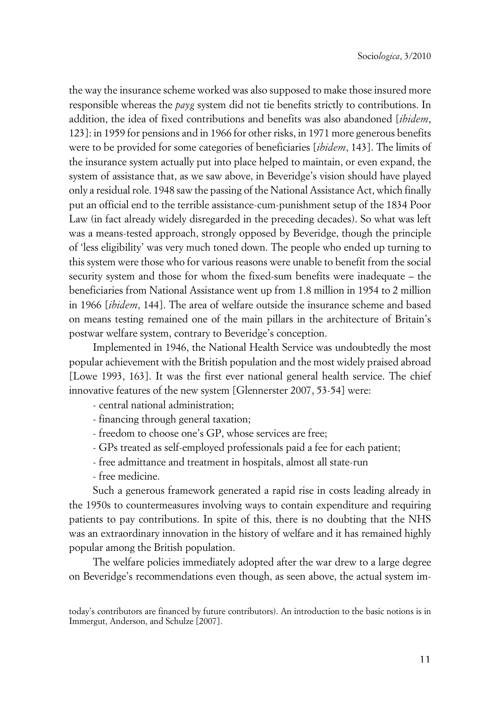the way the insurance scheme worked was also supposed to make those insured more responsible whereas the *payg* system did not tie benefits strictly to contributions. In addition, the idea of fixed contributions and benefits was also abandoned [*ibidem*, 123]: in 1959 for pensions and in 1966 for other risks, in 1971 more generous benefits were to be provided for some categories of beneficiaries [*ibidem*, 143]. The limits of the insurance system actually put into place helped to maintain, or even expand, the system of assistance that, as we saw above, in Beveridge's vision should have played only a residual role. 1948 saw the passing of the National Assistance Act, which finally put an official end to the terrible assistance-cum-punishment setup of the 1834 Poor Law (in fact already widely disregarded in the preceding decades). So what was left was a means-tested approach, strongly opposed by Beveridge, though the principle of 'less eligibility' was very much toned down. The people who ended up turning to this system were those who for various reasons were unable to benefit from the social security system and those for whom the fixed-sum benefits were inadequate – the beneficiaries from National Assistance went up from 1.8 million in 1954 to 2 million in 1966 [*ibidem*, 144]. The area of welfare outside the insurance scheme and based on means testing remained one of the main pillars in the architecture of Britain's postwar welfare system, contrary to Beveridge's conception.

Implemented in 1946, the National Health Service was undoubtedly the most popular achievement with the British population and the most widely praised abroad [Lowe 1993, 163]. It was the first ever national general health service. The chief innovative features of the new system [Glennerster 2007, 53-54] were:

- central national administration;
- financing through general taxation;
- freedom to choose one's GP, whose services are free;
- GPs treated as self-employed professionals paid a fee for each patient;
- free admittance and treatment in hospitals, almost all state-run
- free medicine.

Such a generous framework generated a rapid rise in costs leading already in the 1950s to countermeasures involving ways to contain expenditure and requiring patients to pay contributions. In spite of this, there is no doubting that the NHS was an extraordinary innovation in the history of welfare and it has remained highly popular among the British population.

The welfare policies immediately adopted after the war drew to a large degree on Beveridge's recommendations even though, as seen above, the actual system im-

today's contributors are financed by future contributors). An introduction to the basic notions is in Immergut, Anderson, and Schulze [2007].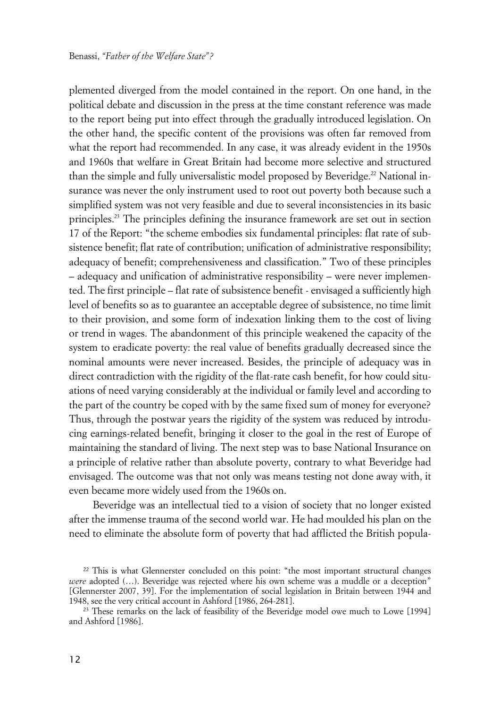plemented diverged from the model contained in the report. On one hand, in the political debate and discussion in the press at the time constant reference was made to the report being put into effect through the gradually introduced legislation. On the other hand, the specific content of the provisions was often far removed from what the report had recommended. In any case, it was already evident in the 1950s and 1960s that welfare in Great Britain had become more selective and structured than the simple and fully universalistic model proposed by Beveridge.<sup>22</sup> National insurance was never the only instrument used to root out poverty both because such a simplified system was not very feasible and due to several inconsistencies in its basic principles.<sup>23</sup> The principles defining the insurance framework are set out in section 17 of the Report: "the scheme embodies six fundamental principles: flat rate of subsistence benefit; flat rate of contribution; unification of administrative responsibility; adequacy of benefit; comprehensiveness and classification." Two of these principles – adequacy and unification of administrative responsibility – were never implemented. The first principle – flat rate of subsistence benefit - envisaged a sufficiently high level of benefits so as to guarantee an acceptable degree of subsistence, no time limit to their provision, and some form of indexation linking them to the cost of living or trend in wages. The abandonment of this principle weakened the capacity of the system to eradicate poverty: the real value of benefits gradually decreased since the nominal amounts were never increased. Besides, the principle of adequacy was in direct contradiction with the rigidity of the flat-rate cash benefit, for how could situations of need varying considerably at the individual or family level and according to the part of the country be coped with by the same fixed sum of money for everyone? Thus, through the postwar years the rigidity of the system was reduced by introducing earnings-related benefit, bringing it closer to the goal in the rest of Europe of maintaining the standard of living. The next step was to base National Insurance on a principle of relative rather than absolute poverty, contrary to what Beveridge had envisaged. The outcome was that not only was means testing not done away with, it even became more widely used from the 1960s on.

Beveridge was an intellectual tied to a vision of society that no longer existed after the immense trauma of the second world war. He had moulded his plan on the need to eliminate the absolute form of poverty that had afflicted the British popula-

<sup>&</sup>lt;sup>22</sup> This is what Glennerster concluded on this point: "the most important structural changes *were* adopted (...). Beveridge was rejected where his own scheme was a muddle or a deception" [Glennerster 2007, 39]. For the implementation of social legislation in Britain between 1944 and 1948, see the very critical account in Ashford [1986, 264-281].

<sup>&</sup>lt;sup>23</sup> These remarks on the lack of feasibility of the Beveridge model owe much to Lowe [1994] and Ashford [1986].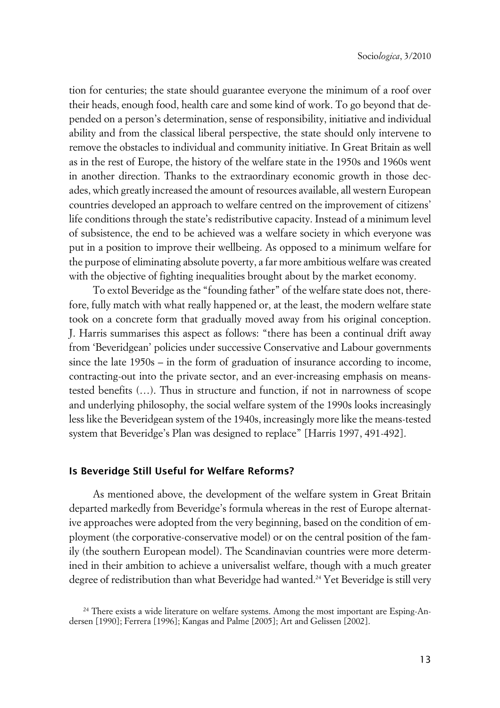tion for centuries; the state should guarantee everyone the minimum of a roof over their heads, enough food, health care and some kind of work. To go beyond that depended on a person's determination, sense of responsibility, initiative and individual ability and from the classical liberal perspective, the state should only intervene to remove the obstacles to individual and community initiative. In Great Britain as well as in the rest of Europe, the history of the welfare state in the 1950s and 1960s went in another direction. Thanks to the extraordinary economic growth in those decades, which greatly increased the amount of resources available, all western European countries developed an approach to welfare centred on the improvement of citizens' life conditions through the state's redistributive capacity. Instead of a minimum level of subsistence, the end to be achieved was a welfare society in which everyone was put in a position to improve their wellbeing. As opposed to a minimum welfare for the purpose of eliminating absolute poverty, a far more ambitious welfare was created with the objective of fighting inequalities brought about by the market economy.

To extol Beveridge as the "founding father" of the welfare state does not, therefore, fully match with what really happened or, at the least, the modern welfare state took on a concrete form that gradually moved away from his original conception. J. Harris summarises this aspect as follows: "there has been a continual drift away from 'Beveridgean' policies under successive Conservative and Labour governments since the late 1950s – in the form of graduation of insurance according to income, contracting-out into the private sector, and an ever-increasing emphasis on meanstested benefits (…). Thus in structure and function, if not in narrowness of scope and underlying philosophy, the social welfare system of the 1990s looks increasingly less like the Beveridgean system of the 1940s, increasingly more like the means-tested system that Beveridge's Plan was designed to replace" [Harris 1997, 491-492].

#### **Is Beveridge Still Useful for Welfare Reforms?**

As mentioned above, the development of the welfare system in Great Britain departed markedly from Beveridge's formula whereas in the rest of Europe alternative approaches were adopted from the very beginning, based on the condition of employment (the corporative-conservative model) or on the central position of the family (the southern European model). The Scandinavian countries were more determined in their ambition to achieve a universalist welfare, though with a much greater degree of redistribution than what Beveridge had wanted.<sup>24</sup> Yet Beveridge is still very

<sup>&</sup>lt;sup>24</sup> There exists a wide literature on welfare systems. Among the most important are Esping-Andersen [1990]; Ferrera [1996]; Kangas and Palme [2005]; Art and Gelissen [2002].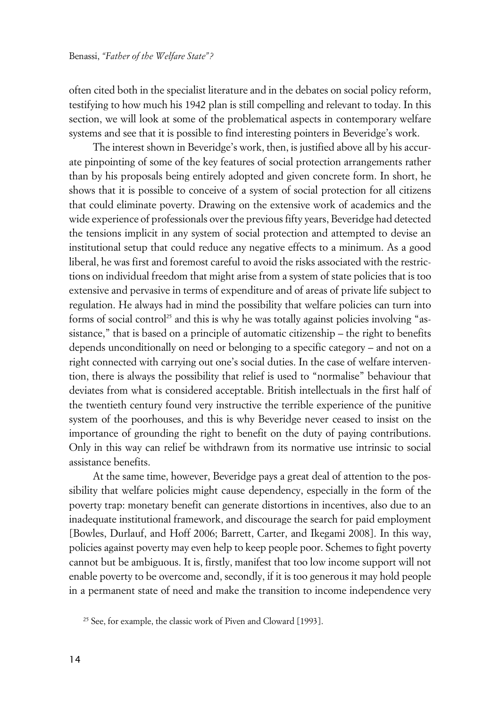often cited both in the specialist literature and in the debates on social policy reform, testifying to how much his 1942 plan is still compelling and relevant to today. In this section, we will look at some of the problematical aspects in contemporary welfare systems and see that it is possible to find interesting pointers in Beveridge's work.

The interest shown in Beveridge's work, then, is justified above all by his accurate pinpointing of some of the key features of social protection arrangements rather than by his proposals being entirely adopted and given concrete form. In short, he shows that it is possible to conceive of a system of social protection for all citizens that could eliminate poverty. Drawing on the extensive work of academics and the wide experience of professionals over the previous fifty years, Beveridge had detected the tensions implicit in any system of social protection and attempted to devise an institutional setup that could reduce any negative effects to a minimum. As a good liberal, he was first and foremost careful to avoid the risks associated with the restrictions on individual freedom that might arise from a system of state policies that is too extensive and pervasive in terms of expenditure and of areas of private life subject to regulation. He always had in mind the possibility that welfare policies can turn into forms of social control<sup>25</sup> and this is why he was totally against policies involving "assistance," that is based on a principle of automatic citizenship – the right to benefits depends unconditionally on need or belonging to a specific category – and not on a right connected with carrying out one's social duties. In the case of welfare intervention, there is always the possibility that relief is used to "normalise" behaviour that deviates from what is considered acceptable. British intellectuals in the first half of the twentieth century found very instructive the terrible experience of the punitive system of the poorhouses, and this is why Beveridge never ceased to insist on the importance of grounding the right to benefit on the duty of paying contributions. Only in this way can relief be withdrawn from its normative use intrinsic to social assistance benefits.

At the same time, however, Beveridge pays a great deal of attention to the possibility that welfare policies might cause dependency, especially in the form of the poverty trap: monetary benefit can generate distortions in incentives, also due to an inadequate institutional framework, and discourage the search for paid employment [Bowles, Durlauf, and Hoff 2006; Barrett, Carter, and Ikegami 2008]. In this way, policies against poverty may even help to keep people poor. Schemes to fight poverty cannot but be ambiguous. It is, firstly, manifest that too low income support will not enable poverty to be overcome and, secondly, if it is too generous it may hold people in a permanent state of need and make the transition to income independence very

<sup>25</sup> See, for example, the classic work of Piven and Cloward [1993].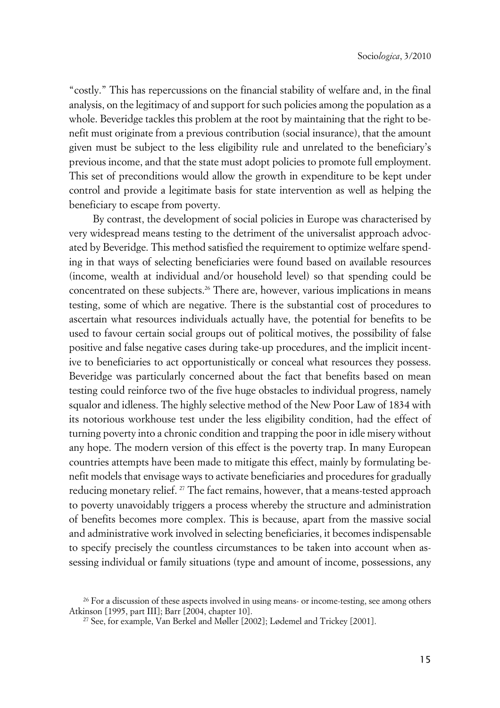"costly." This has repercussions on the financial stability of welfare and, in the final analysis, on the legitimacy of and support for such policies among the population as a whole. Beveridge tackles this problem at the root by maintaining that the right to benefit must originate from a previous contribution (social insurance), that the amount given must be subject to the less eligibility rule and unrelated to the beneficiary's previous income, and that the state must adopt policies to promote full employment. This set of preconditions would allow the growth in expenditure to be kept under control and provide a legitimate basis for state intervention as well as helping the beneficiary to escape from poverty.

By contrast, the development of social policies in Europe was characterised by very widespread means testing to the detriment of the universalist approach advocated by Beveridge. This method satisfied the requirement to optimize welfare spending in that ways of selecting beneficiaries were found based on available resources (income, wealth at individual and/or household level) so that spending could be concentrated on these subjects.<sup>26</sup> There are, however, various implications in means testing, some of which are negative. There is the substantial cost of procedures to ascertain what resources individuals actually have, the potential for benefits to be used to favour certain social groups out of political motives, the possibility of false positive and false negative cases during take-up procedures, and the implicit incentive to beneficiaries to act opportunistically or conceal what resources they possess. Beveridge was particularly concerned about the fact that benefits based on mean testing could reinforce two of the five huge obstacles to individual progress, namely squalor and idleness. The highly selective method of the New Poor Law of 1834 with its notorious workhouse test under the less eligibility condition, had the effect of turning poverty into a chronic condition and trapping the poor in idle misery without any hope. The modern version of this effect is the poverty trap. In many European countries attempts have been made to mitigate this effect, mainly by formulating benefit models that envisage ways to activate beneficiaries and procedures for gradually reducing monetary relief. <sup>27</sup> The fact remains, however, that a means-tested approach to poverty unavoidably triggers a process whereby the structure and administration of benefits becomes more complex. This is because, apart from the massive social and administrative work involved in selecting beneficiaries, it becomes indispensable to specify precisely the countless circumstances to be taken into account when assessing individual or family situations (type and amount of income, possessions, any

<sup>&</sup>lt;sup>26</sup> For a discussion of these aspects involved in using means- or income-testing, see among others Atkinson [1995, part III]; Barr [2004, chapter 10].

<sup>27</sup> See, for example, Van Berkel and Møller [2002]; Lødemel and Trickey [2001].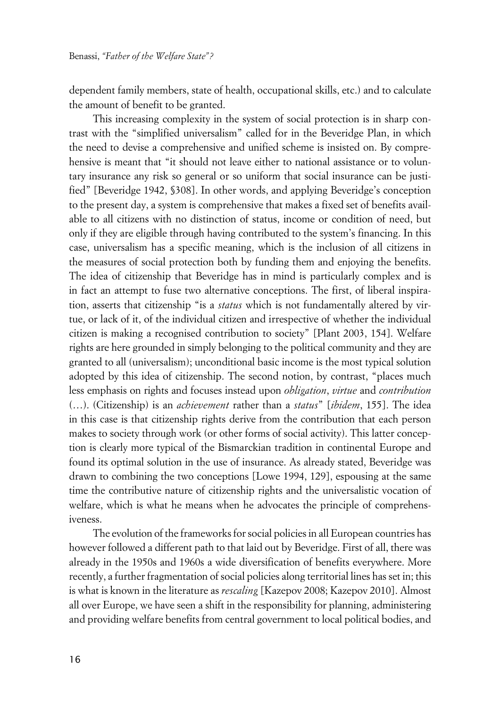dependent family members, state of health, occupational skills, etc.) and to calculate the amount of benefit to be granted.

This increasing complexity in the system of social protection is in sharp contrast with the "simplified universalism" called for in the Beveridge Plan, in which the need to devise a comprehensive and unified scheme is insisted on. By comprehensive is meant that "it should not leave either to national assistance or to voluntary insurance any risk so general or so uniform that social insurance can be justified" [Beveridge 1942, §308]. In other words, and applying Beveridge's conception to the present day, a system is comprehensive that makes a fixed set of benefits available to all citizens with no distinction of status, income or condition of need, but only if they are eligible through having contributed to the system's financing. In this case, universalism has a specific meaning, which is the inclusion of all citizens in the measures of social protection both by funding them and enjoying the benefits. The idea of citizenship that Beveridge has in mind is particularly complex and is in fact an attempt to fuse two alternative conceptions. The first, of liberal inspiration, asserts that citizenship "is a *status* which is not fundamentally altered by virtue, or lack of it, of the individual citizen and irrespective of whether the individual citizen is making a recognised contribution to society" [Plant 2003, 154]. Welfare rights are here grounded in simply belonging to the political community and they are granted to all (universalism); unconditional basic income is the most typical solution adopted by this idea of citizenship. The second notion, by contrast, "places much less emphasis on rights and focuses instead upon *obligation*, *virtue* and *contribution* (…). (Citizenship) is an *achievement* rather than a *status*" [*ibidem*, 155]. The idea in this case is that citizenship rights derive from the contribution that each person makes to society through work (or other forms of social activity). This latter conception is clearly more typical of the Bismarckian tradition in continental Europe and found its optimal solution in the use of insurance. As already stated, Beveridge was drawn to combining the two conceptions [Lowe 1994, 129], espousing at the same time the contributive nature of citizenship rights and the universalistic vocation of welfare, which is what he means when he advocates the principle of comprehensiveness.

The evolution of the frameworks for social policies in all European countries has however followed a different path to that laid out by Beveridge. First of all, there was already in the 1950s and 1960s a wide diversification of benefits everywhere. More recently, a further fragmentation of social policies along territorial lines has set in; this is what is known in the literature as *rescaling* [Kazepov 2008; Kazepov 2010]. Almost all over Europe, we have seen a shift in the responsibility for planning, administering and providing welfare benefits from central government to local political bodies, and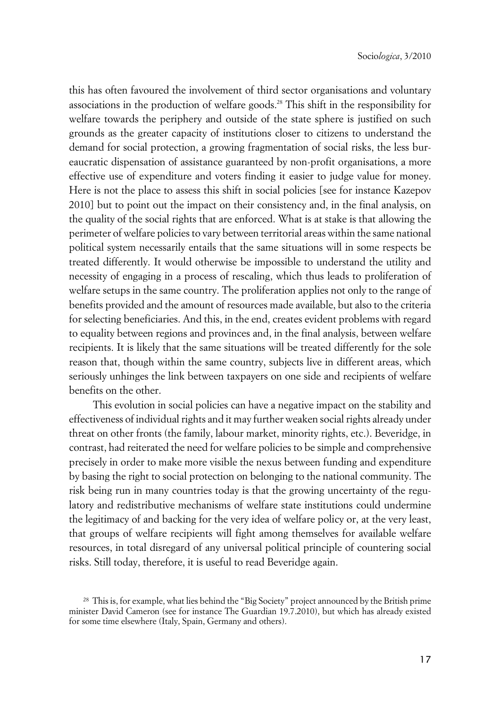this has often favoured the involvement of third sector organisations and voluntary associations in the production of welfare goods.28 This shift in the responsibility for welfare towards the periphery and outside of the state sphere is justified on such grounds as the greater capacity of institutions closer to citizens to understand the demand for social protection, a growing fragmentation of social risks, the less bureaucratic dispensation of assistance guaranteed by non-profit organisations, a more effective use of expenditure and voters finding it easier to judge value for money. Here is not the place to assess this shift in social policies [see for instance Kazepov 2010] but to point out the impact on their consistency and, in the final analysis, on the quality of the social rights that are enforced. What is at stake is that allowing the perimeter of welfare policies to vary between territorial areas within the same national political system necessarily entails that the same situations will in some respects be treated differently. It would otherwise be impossible to understand the utility and necessity of engaging in a process of rescaling, which thus leads to proliferation of welfare setups in the same country. The proliferation applies not only to the range of benefits provided and the amount of resources made available, but also to the criteria for selecting beneficiaries. And this, in the end, creates evident problems with regard to equality between regions and provinces and, in the final analysis, between welfare recipients. It is likely that the same situations will be treated differently for the sole reason that, though within the same country, subjects live in different areas, which seriously unhinges the link between taxpayers on one side and recipients of welfare benefits on the other.

This evolution in social policies can have a negative impact on the stability and effectiveness of individual rights and it may further weaken social rights already under threat on other fronts (the family, labour market, minority rights, etc.). Beveridge, in contrast, had reiterated the need for welfare policies to be simple and comprehensive precisely in order to make more visible the nexus between funding and expenditure by basing the right to social protection on belonging to the national community. The risk being run in many countries today is that the growing uncertainty of the regulatory and redistributive mechanisms of welfare state institutions could undermine the legitimacy of and backing for the very idea of welfare policy or, at the very least, that groups of welfare recipients will fight among themselves for available welfare resources, in total disregard of any universal political principle of countering social risks. Still today, therefore, it is useful to read Beveridge again.

<sup>&</sup>lt;sup>28</sup> This is, for example, what lies behind the "Big Society" project announced by the British prime minister David Cameron (see for instance The Guardian 19.7.2010), but which has already existed for some time elsewhere (Italy, Spain, Germany and others).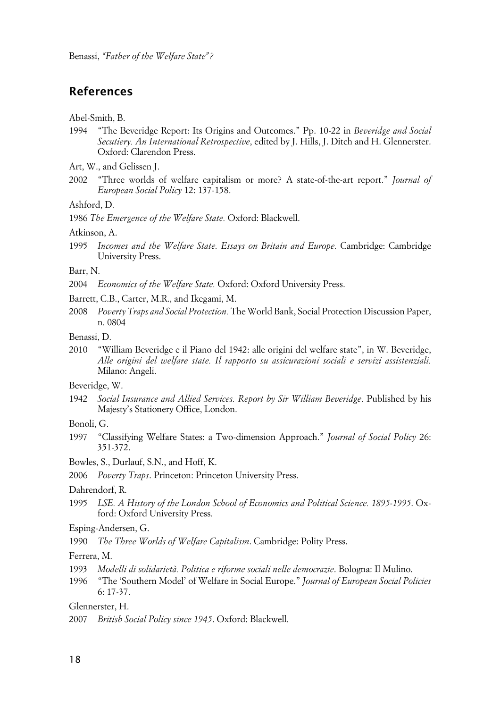### **References**

#### Abel-Smith, B.

- 1994 "The Beveridge Report: Its Origins and Outcomes." Pp. 10-22 in *Beveridge and Social Secutiery. An International Retrospective*, edited by J. Hills, J. Ditch and H. Glennerster. Oxford: Clarendon Press.
- Art, W., and Gelissen J.
- 2002 "Three worlds of welfare capitalism or more? A state-of-the-art report." *Journal of European Social Policy* 12: 137-158.

#### Ashford, D.

1986 *The Emergence of the Welfare State.* Oxford: Blackwell.

#### Atkinson, A.

1995 *Incomes and the Welfare State. Essays on Britain and Europe.* Cambridge: Cambridge University Press.

#### Barr, N.

- 2004 *Economics of the Welfare State.* Oxford: Oxford University Press.
- Barrett, C.B., Carter, M.R., and Ikegami, M.
- 2008 *Poverty Traps and Social Protection.* The World Bank, Social Protection Discussion Paper, n. 0804
- Benassi, D.
- 2010 "William Beveridge e il Piano del 1942: alle origini del welfare state", in W. Beveridge, *Alle origini del welfare state. Il rapporto su assicurazioni sociali e servizi assistenziali.* Milano: Angeli.

Beveridge, W.

- 1942 *Social Insurance and Allied Services. Report by Sir William Beveridge*. Published by his Majesty's Stationery Office, London.
- Bonoli, G.
- 1997 "Classifying Welfare States: a Two-dimension Approach." *Journal of Social Policy* 26: 351-372.
- Bowles, S., Durlauf, S.N., and Hoff, K.
- 2006 *Poverty Traps*. Princeton: Princeton University Press.

Dahrendorf, R.

- 1995 *LSE. A History of the London School of Economics and Political Science. 1895-1995*. Oxford: Oxford University Press.
- Esping-Andersen, G.
- 1990 *The Three Worlds of Welfare Capitalism*. Cambridge: Polity Press.

Ferrera, M.

- 1993 *Modelli di solidarietà. Politica e riforme sociali nelle democrazie*. Bologna: Il Mulino.
- 1996 "The 'Southern Model' of Welfare in Social Europe." *Journal of European Social Policies* 6: 17-37.

Glennerster, H.

2007 *British Social Policy since 1945*. Oxford: Blackwell.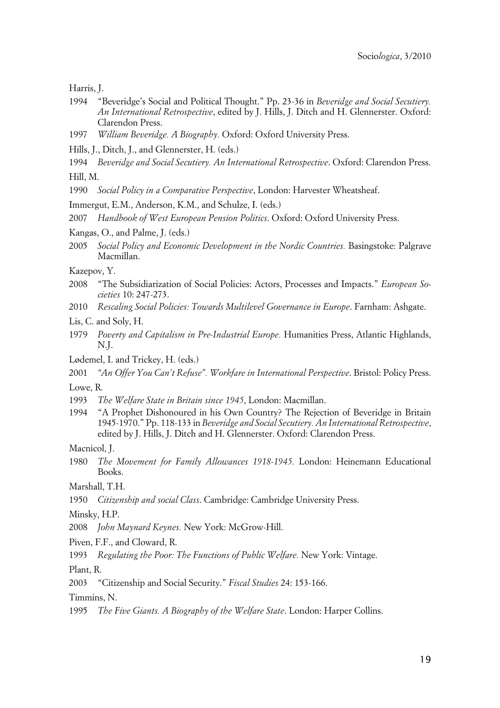Harris, J.

- 1994 "Beveridge's Social and Political Thought." Pp. 23-36 in *Beveridge and Social Secutiery. An International Retrospective*, edited by J. Hills, J. Ditch and H. Glennerster. Oxford: Clarendon Press.
- 1997 *William Beveridge. A Biography.* Oxford: Oxford University Press.
- Hills, J., Ditch, J., and Glennerster, H. (eds.)
- 1994 *Beveridge and Social Secutiery. An International Retrospective*. Oxford: Clarendon Press.

Hill, M.

- 1990 *Social Policy in a Comparative Perspective*, London: Harvester Wheatsheaf.
- Immergut, E.M., Anderson, K.M., and Schulze, I. (eds.)
- 2007 *Handbook of West European Pension Politics*. Oxford: Oxford University Press.
- Kangas, O., and Palme, J. (eds.)
- 2005 *Social Policy and Economic Development in the Nordic Countries.* Basingstoke: Palgrave Macmillan.

Kazepov, Y.

- 2008 "The Subsidiarization of Social Policies: Actors, Processes and Impacts." *European Societies* 10: 247-273.
- 2010 *Rescaling Social Policies: Towards Multilevel Governance in Europe*. Farnham: Ashgate.
- Lis, C. and Soly, H.
- 1979 *Poverty and Capitalism in Pre-Industrial Europe.* Humanities Press, Atlantic Highlands, N.J.
- Lødemel, I. and Trickey, H. (eds.)
- 2001 *"An Offer You Can't Refuse". Workfare in International Perspective*. Bristol: Policy Press.

Lowe, R.

- 1993 *The Welfare State in Britain since 1945*, London: Macmillan.
- 1994 "A Prophet Dishonoured in his Own Country? The Rejection of Beveridge in Britain 1945-1970." Pp. 118-133 in *Beveridge and Social Secutiery. An International Retrospective*, edited by J. Hills, J. Ditch and H. Glennerster. Oxford: Clarendon Press.

Macnicol, J.

1980 *The Movement for Family Allowances 1918-1945.* London: Heinemann Educational Books.

Marshall, T.H.

1950 *Citizenship and social Class*. Cambridge: Cambridge University Press.

Minsky, H.P.

2008 *John Maynard Keynes.* New York: McGrow-Hill.

Piven, F.F., and Cloward, R.

1993 *Regulating the Poor: The Functions of Public Welfare.* New York: Vintage.

Plant, R.

2003 "Citizenship and Social Security." *Fiscal Studies* 24: 153-166.

Timmins, N.

1995 *The Five Giants. A Biography of the Welfare State*. London: Harper Collins.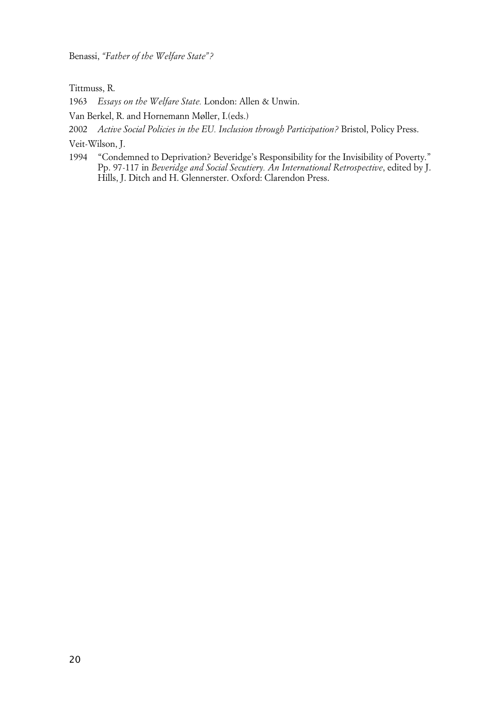Benassi, *"Father of the Welfare State"?*

Tittmuss, R.

1963 *Essays on the Welfare State.* London: Allen & Unwin.

Van Berkel, R. and Hornemann Møller, I.(eds.)

2002 *Active Social Policies in the EU. Inclusion through Participation?* Bristol, Policy Press.

Veit-Wilson, J.

1994 "Condemned to Deprivation? Beveridge's Responsibility for the Invisibility of Poverty." Pp. 97-117 in *Beveridge and Social Secutiery. An International Retrospective*, edited by J. Hills, J. Ditch and H. Glennerster. Oxford: Clarendon Press.